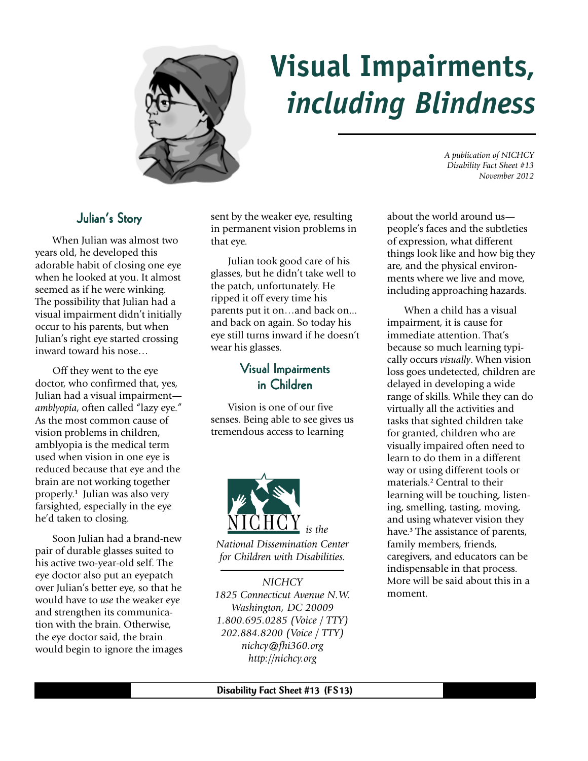

# **Visual Impairments,** *including Blindness*

*A publication of NICHCY Disability Fact Sheet #13 November 2012*

## Julian's Story

When Julian was almost two years old, he developed this adorable habit of closing one eye when he looked at you. It almost seemed as if he were winking. The possibility that Julian had a visual impairment didn't initially occur to his parents, but when Julian's right eye started crossing inward toward his nose…

Off they went to the eye doctor, who confirmed that, yes, Julian had a visual impairment *amblyopia*, often called "lazy eye." As the most common cause of vision problems in children, amblyopia is the medical term used when vision in one eye is reduced because that eye and the brain are not working together properly.**<sup>1</sup>** Julian was also very farsighted, especially in the eye he'd taken to closing.

Soon Julian had a brand-new pair of durable glasses suited to his active two-year-old self. The eye doctor also put an eyepatch over Julian's better eye, so that he would have to *use* the weaker eye and strengthen its communication with the brain. Otherwise, the eye doctor said, the brain would begin to ignore the images sent by the weaker eye, resulting in permanent vision problems in that eye.

Julian took good care of his glasses, but he didn't take well to the patch, unfortunately. He ripped it off every time his parents put it on…and back on... and back on again. So today his eye still turns inward if he doesn't wear his glasses.

# Visual Impairments in Children

Vision is one of our five senses. Being able to see gives us tremendous access to learning



*National Dissemination Center for Children with Disabilities.*

*NICHCY 1825 Connecticut Avenue N.W. Washington, DC 20009 1.800.695.0285 (Voice / TTY) 202.884.8200 (Voice / TTY) nichcy@fhi360.org http://nichcy.org*

about the world around us people's faces and the subtleties of expression, what different things look like and how big they are, and the physical environments where we live and move, including approaching hazards.

When a child has a visual impairment, it is cause for immediate attention. That's because so much learning typically occurs *visually*. When vision loss goes undetected, children are delayed in developing a wide range of skills. While they can do virtually all the activities and tasks that sighted children take for granted, children who are visually impaired often need to learn to do them in a different way or using different tools or materials.**<sup>2</sup>** Central to their learning will be touching, listening, smelling, tasting, moving, and using whatever vision they have.**<sup>3</sup>** The assistance of parents, family members, friends, caregivers, and educators can be indispensable in that process. More will be said about this in a moment.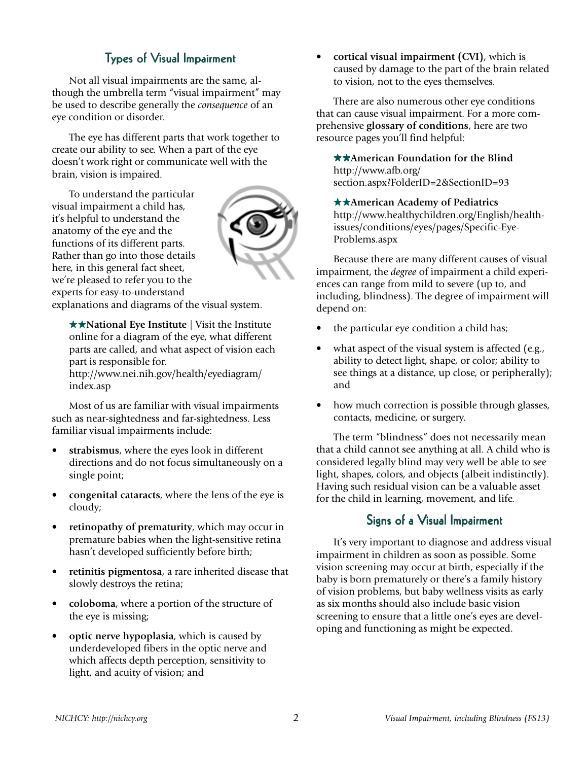## Types of Visual Impairment

Not all visual impairments are the same, although the umbrella term "visual impairment" may be used to describe generally the *consequence* of an eye condition or disorder.

The eye has different parts that work together to create our ability to see. When a part of the eye doesn't work right or communicate well with the brain, vision is impaired.

To understand the particular visual impairment a child has, it's helpful to understand the anatomy of the eye and the functions of its different parts. Rather than go into those details here, in this general fact sheet, we're pleased to refer you to the experts for easy-to-understand



explanations and diagrams of the visual system.

★★**National Eye Institute** | Visit the Institute online for a diagram of the eye, what different parts are called, and what aspect of vision each part is responsible for.

http://www.nei.nih.gov/health/eyediagram/ index.asp

Most of us are familiar with visual impairments such as near-sightedness and far-sightedness. Less familiar visual impairments include:

- **strabismus**, where the eyes look in different directions and do not focus simultaneously on a single point;
- **congenital cataracts**, where the lens of the eye is cloudy;
- **retinopathy of prematurity**, which may occur in premature babies when the light-sensitive retina hasn't developed sufficiently before birth;
- **retinitis pigmentosa**, a rare inherited disease that slowly destroys the retina;
- **coloboma**, where a portion of the structure of the eye is missing;
- **optic nerve hypoplasia**, which is caused by underdeveloped fibers in the optic nerve and which affects depth perception, sensitivity to light, and acuity of vision; and

• **cortical visual impairment (CVI)**, which is caused by damage to the part of the brain related to vision, not to the eyes themselves.

There are also numerous other eye conditions that can cause visual impairment. For a more comprehensive **glossary of conditions**, here are two resource pages you'll find helpful:

★★**American Foundation for the Blind** http://www.afb.org/ section.aspx?FolderID=2&SectionID=93

★★**American Academy of Pediatrics** http://www.healthychildren.org/English/healthissues/conditions/eyes/pages/Specific-Eye-Problems.aspx

Because there are many different causes of visual impairment, the *degree* of impairment a child experiences can range from mild to severe (up to, and including, blindness). The degree of impairment will depend on:

- the particular eye condition a child has;
- what aspect of the visual system is affected (e.g., ability to detect light, shape, or color; ability to see things at a distance, up close, or peripherally); and
- how much correction is possible through glasses, contacts, medicine, or surgery.

The term "blindness" does not necessarily mean that a child cannot see anything at all. A child who is considered legally blind may very well be able to see light, shapes, colors, and objects (albeit indistinctly). Having such residual vision can be a valuable asset for the child in learning, movement, and life.

## Signs of a Visual Impairment

It's very important to diagnose and address visual impairment in children as soon as possible. Some vision screening may occur at birth, especially if the baby is born prematurely or there's a family history of vision problems, but baby wellness visits as early as six months should also include basic vision screening to ensure that a little one's eyes are developing and functioning as might be expected.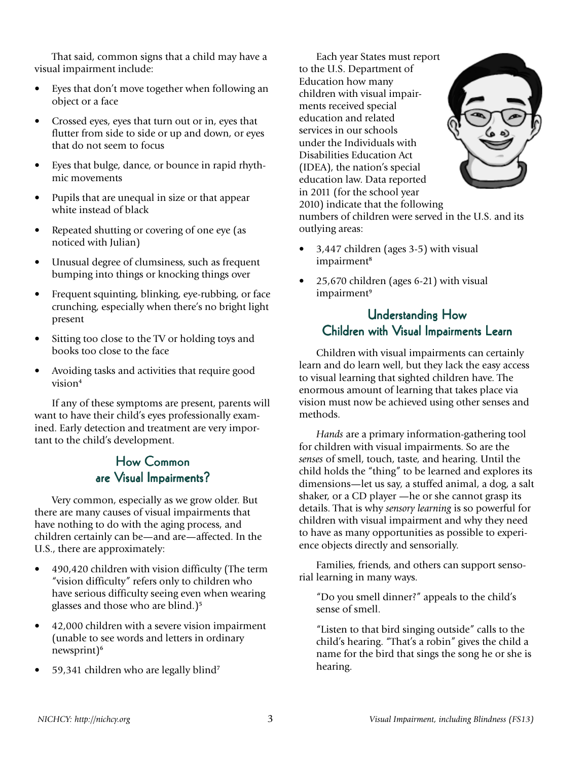That said, common signs that a child may have a visual impairment include:

- Eyes that don't move together when following an object or a face
- Crossed eyes, eyes that turn out or in, eyes that flutter from side to side or up and down, or eyes that do not seem to focus
- Eyes that bulge, dance, or bounce in rapid rhythmic movements
- Pupils that are unequal in size or that appear white instead of black
- Repeated shutting or covering of one eye (as noticed with Julian)
- Unusual degree of clumsiness, such as frequent bumping into things or knocking things over
- Frequent squinting, blinking, eye-rubbing, or face crunching, especially when there's no bright light present
- Sitting too close to the TV or holding toys and books too close to the face
- Avoiding tasks and activities that require good vision**<sup>4</sup>**

If any of these symptoms are present, parents will want to have their child's eyes professionally examined. Early detection and treatment are very important to the child's development.

# How Common are Visual Impairments?

Very common, especially as we grow older. But there are many causes of visual impairments that have nothing to do with the aging process, and children certainly can be—and are—affected. In the U.S., there are approximately:

- 490,420 children with vision difficulty (The term "vision difficulty" refers only to children who have serious difficulty seeing even when wearing glasses and those who are blind.)**<sup>5</sup>**
- 42,000 children with a severe vision impairment (unable to see words and letters in ordinary newsprint)**<sup>6</sup>**
- 59,341 children who are legally blind**<sup>7</sup>**

Each year States must report to the U.S. Department of Education how many children with visual impairments received special education and related services in our schools under the Individuals with Disabilities Education Act (IDEA), the nation's special education law. Data reported in 2011 (for the school year 2010) indicate that the following



numbers of children were served in the U.S. and its outlying areas:

- 3,447 children (ages 3-5) with visual impairment**<sup>8</sup>**
- 25,670 children (ages 6-21) with visual impairment**<sup>9</sup>**

# Understanding How Children with Visual Impairments Learn

Children with visual impairments can certainly learn and do learn well, but they lack the easy access to visual learning that sighted children have. The enormous amount of learning that takes place via vision must now be achieved using other senses and methods.

*Hands* are a primary information-gathering tool for children with visual impairments. So are the *senses* of smell, touch, taste, and hearing. Until the child holds the "thing" to be learned and explores its dimensions—let us say, a stuffed animal, a dog, a salt shaker, or a CD player —he or she cannot grasp its details. That is why *sensory learning* is so powerful for children with visual impairment and why they need to have as many opportunities as possible to experience objects directly and sensorially.

Families, friends, and others can support sensorial learning in many ways.

"Do you smell dinner?" appeals to the child's sense of smell.

"Listen to that bird singing outside" calls to the child's hearing. "That's a robin" gives the child a name for the bird that sings the song he or she is hearing.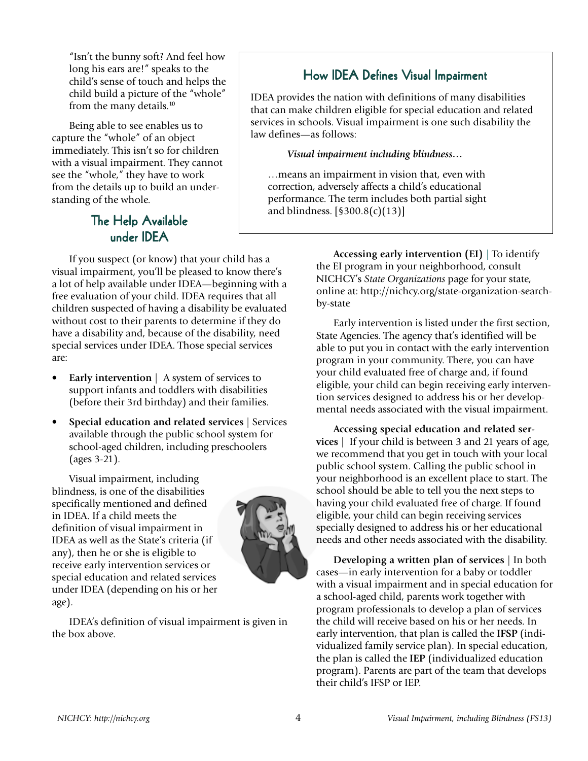"Isn't the bunny soft? And feel how long his ears are!" speaks to the child's sense of touch and helps the child build a picture of the "whole" from the many details.**<sup>10</sup>**

Being able to see enables us to capture the "whole" of an object immediately. This isn't so for children with a visual impairment. They cannot see the "whole," they have to work from the details up to build an understanding of the whole.

# The Help Available under IDEA

# How IDEA Defines Visual Impairment

IDEA provides the nation with definitions of many disabilities that can make children eligible for special education and related services in schools. Visual impairment is one such disability the law defines—as follows:

#### *Visual impairment including blindness…*

…means an impairment in vision that, even with correction, adversely affects a child's educational performance. The term includes both partial sight and blindness. [§300.8(c)(13)]

If you suspect (or know) that your child has a visual impairment, you'll be pleased to know there's a lot of help available under IDEA—beginning with a free evaluation of your child. IDEA requires that all children suspected of having a disability be evaluated without cost to their parents to determine if they do have a disability and, because of the disability, need special services under IDEA. Those special services are:

- **Early intervention** | A system of services to support infants and toddlers with disabilities (before their 3rd birthday) and their families.
- **Special education and related services** | Services available through the public school system for school-aged children, including preschoolers (ages 3-21).

Visual impairment, including blindness, is one of the disabilities specifically mentioned and defined in IDEA. If a child meets the definition of visual impairment in IDEA as well as the State's criteria (if any), then he or she is eligible to receive early intervention services or special education and related services under IDEA (depending on his or her age).



IDEA's definition of visual impairment is given in the box above.

**Accessing early intervention (EI) |** To identify the EI program in your neighborhood, consult NICHCY's *State Organizations* page for your state, online at: http://nichcy.org/state-organization-searchby-state

Early intervention is listed under the first section, State Agencies. The agency that's identified will be able to put you in contact with the early intervention program in your community. There, you can have your child evaluated free of charge and, if found eligible, your child can begin receiving early intervention services designed to address his or her developmental needs associated with the visual impairment.

**Accessing special education and related services** | If your child is between 3 and 21 years of age, we recommend that you get in touch with your local public school system. Calling the public school in your neighborhood is an excellent place to start. The school should be able to tell you the next steps to having your child evaluated free of charge. If found eligible, your child can begin receiving services specially designed to address his or her educational needs and other needs associated with the disability.

**Developing a written plan of services** | In both cases—in early intervention for a baby or toddler with a visual impairment and in special education for a school-aged child, parents work together with program professionals to develop a plan of services the child will receive based on his or her needs. In early intervention, that plan is called the **IFSP** (individualized family service plan). In special education, the plan is called the **IEP** (individualized education program). Parents are part of the team that develops their child's IFSP or IEP.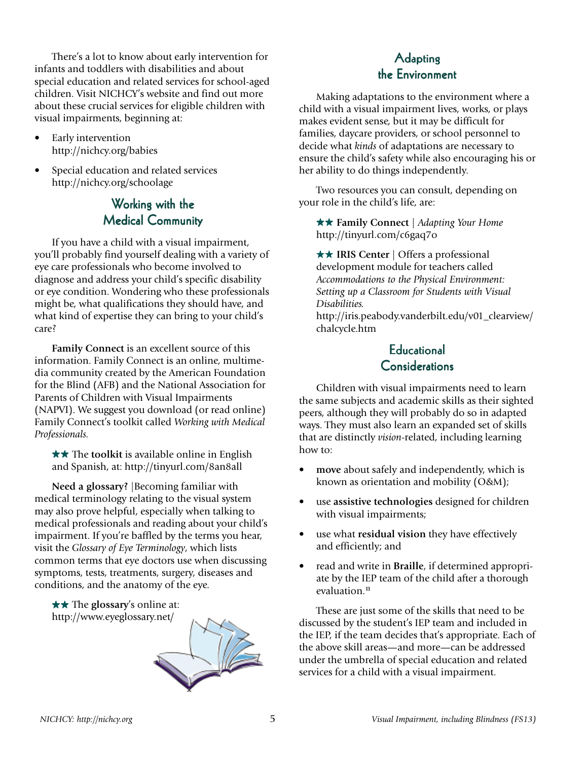There's a lot to know about early intervention for infants and toddlers with disabilities and about special education and related services for school-aged children. Visit NICHCY's website and find out more about these crucial services for eligible children with visual impairments, beginning at:

- Early intervention http://nichcy.org/babies
- Special education and related services http://nichcy.org/schoolage

# Working with the Medical Community

If you have a child with a visual impairment, you'll probably find yourself dealing with a variety of eye care professionals who become involved to diagnose and address your child's specific disability or eye condition. Wondering who these professionals might be, what qualifications they should have, and what kind of expertise they can bring to your child's care?

**Family Connect** is an excellent source of this information. Family Connect is an online, multimedia community created by the American Foundation for the Blind (AFB) and the National Association for Parents of Children with Visual Impairments (NAPVI). We suggest you download (or read online) Family Connect's toolkit called *Working with Medical Professionals.*

★★ The **toolkit** is available online in English and Spanish, at: http://tinyurl.com/8an8all

**Need a glossary?** |Becoming familiar with medical terminology relating to the visual system may also prove helpful, especially when talking to medical professionals and reading about your child's impairment. If you're baffled by the terms you hear, visit the *Glossary of Eye Terminology*, which lists common terms that eye doctors use when discussing symptoms, tests, treatments, surgery, diseases and conditions, and the anatomy of the eye.

★★ The **glossary**'s online at: http://www.eyeglossary.net/



# **Adapting** the Environment

Making adaptations to the environment where a child with a visual impairment lives, works, or plays makes evident sense, but it may be difficult for families, daycare providers, or school personnel to decide what *kinds* of adaptations are necessary to ensure the child's safety while also encouraging his or her ability to do things independently.

Two resources you can consult, depending on your role in the child's life, are:

★★ **Family Connect** | *Adapting Your Home* http://tinyurl.com/c6gaq7o

★★ **IRIS Center** | Offers a professional development module for teachers called *Accommodations to the Physical Environment: Setting up a Classroom for Students with Visual Disabilities.*

http://iris.peabody.vanderbilt.edu/v01\_clearview/ chalcycle.htm

# **Educational Considerations**

Children with visual impairments need to learn the same subjects and academic skills as their sighted peers, although they will probably do so in adapted ways. They must also learn an expanded set of skills that are distinctly *vision*-related, including learning how to:

- **move** about safely and independently, which is known as orientation and mobility (O&M);
- use **assistive technologies** designed for children with visual impairments;
- use what **residual vision** they have effectively and efficiently; and
- read and write in **Braille**, if determined appropriate by the IEP team of the child after a thorough evaluation.**<sup>11</sup>**

These are just some of the skills that need to be discussed by the student's IEP team and included in the IEP, if the team decides that's appropriate. Each of the above skill areas—and more—can be addressed under the umbrella of special education and related services for a child with a visual impairment.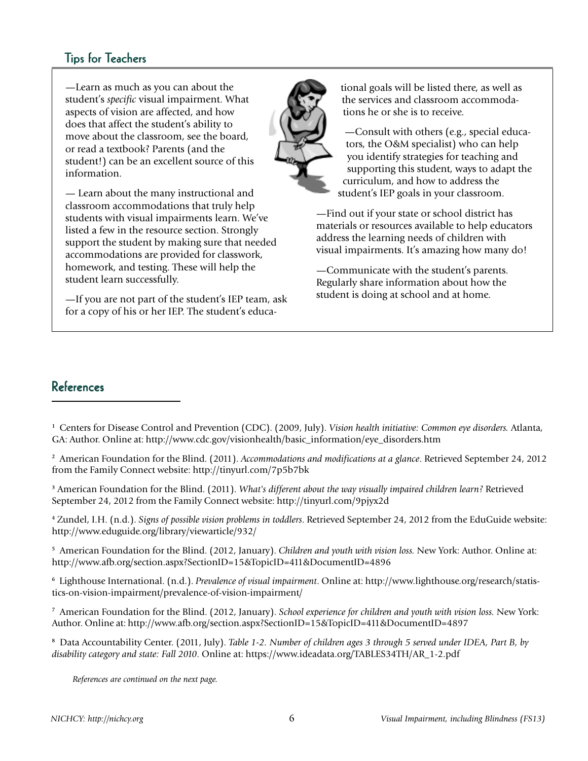## **Tips for Teachers**

—Learn as much as you can about the student's *specific* visual impairment. What aspects of vision are affected, and how does that affect the student's ability to move about the classroom, see the board, or read a textbook? Parents (and the student!) can be an excellent source of this information.

— Learn about the many instructional and classroom accommodations that truly help students with visual impairments learn. We've listed a few in the resource section. Strongly support the student by making sure that needed accommodations are provided for classwork, homework, and testing. These will help the student learn successfully.

—If you are not part of the student's IEP team, ask for a copy of his or her IEP. The student's educational goals will be listed there, as well as the services and classroom accommodations he or she is to receive.

—Consult with others (e.g., special educators, the O&M specialist) who can help you identify strategies for teaching and supporting this student, ways to adapt the curriculum, and how to address the student's IEP goals in your classroom.

—Find out if your state or school district has materials or resources available to help educators address the learning needs of children with visual impairments. It's amazing how many do!

—Communicate with the student's parents. Regularly share information about how the student is doing at school and at home.

## References

**1** Centers for Disease Control and Prevention (CDC). (2009, July). *Vision health initiative: Common eye disorders.* Atlanta, GA: Author. Online at: http://www.cdc.gov/visionhealth/basic\_information/eye\_disorders.htm

**2** American Foundation for the Blind. (2011). *Accommodations and modifications at a glance*. Retrieved September 24, 2012 from the Family Connect website: http://tinyurl.com/7p5b7bk

**3** American Foundation for the Blind. (2011). *What's different about the way visually impaired children learn?* Retrieved September 24, 2012 from the Family Connect website: http://tinyurl.com/9pjyx2d

**4** Zundel, I.H. (n.d.). *Signs of possible vision problems in toddlers*. Retrieved September 24, 2012 from the EduGuide website: http://www.eduguide.org/library/viewarticle/932/

**5** American Foundation for the Blind. (2012, January). *Children and youth with vision loss.* New York: Author. Online at: http://www.afb.org/section.aspx?SectionID=15&TopicID=411&DocumentID=4896

**6** Lighthouse International. (n.d.). *Prevalence of visual impairment*. Online at: http://www.lighthouse.org/research/statistics-on-vision-impairment/prevalence-of-vision-impairment/

**7** American Foundation for the Blind. (2012, January). *School experience for children and youth with vision loss.* New York: Author. Online at: http://www.afb.org/section.aspx?SectionID=15&TopicID=411&DocumentID=4897

**8** Data Accountability Center. (2011, July). *Table 1-2. Number of children ages 3 through 5 served under IDEA, Part B, by disability category and state: Fall 2010*. Online at: https://www.ideadata.org/TABLES34TH/AR\_1-2.pdf

*References are continued on the next page.*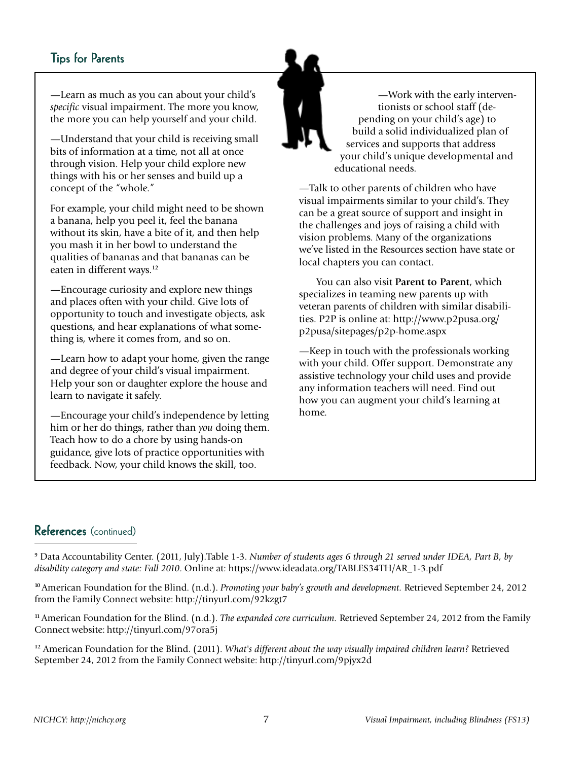## **Tips for Parents**

—Learn as much as you can about your child's *specific* visual impairment. The more you know, the more you can help yourself and your child.

—Understand that your child is receiving small bits of information at a time, not all at once through vision. Help your child explore new things with his or her senses and build up a concept of the "whole."

For example, your child might need to be shown a banana, help you peel it, feel the banana without its skin, have a bite of it, and then help you mash it in her bowl to understand the qualities of bananas and that bananas can be eaten in different ways.**<sup>12</sup>**

—Encourage curiosity and explore new things and places often with your child. Give lots of opportunity to touch and investigate objects, ask questions, and hear explanations of what something is, where it comes from, and so on.

—Learn how to adapt your home, given the range and degree of your child's visual impairment. Help your son or daughter explore the house and learn to navigate it safely.

—Encourage your child's independence by letting him or her do things, rather than *you* doing them. Teach how to do a chore by using hands-on guidance, give lots of practice opportunities with feedback. Now, your child knows the skill, too.

—Work with the early interventionists or school staff (depending on your child's age) to build a solid individualized plan of services and supports that address your child's unique developmental and educational needs.

—Talk to other parents of children who have visual impairments similar to your child's. They can be a great source of support and insight in the challenges and joys of raising a child with vision problems. Many of the organizations we've listed in the Resources section have state or local chapters you can contact.

You can also visit **Parent to Parent**, which specializes in teaming new parents up with veteran parents of children with similar disabilities. P2P is online at: http://www.p2pusa.org/ p2pusa/sitepages/p2p-home.aspx

—Keep in touch with the professionals working with your child. Offer support. Demonstrate any assistive technology your child uses and provide any information teachers will need. Find out how you can augment your child's learning at home.

#### References (continued)

**<sup>9</sup>** Data Accountability Center. (2011, July).Table 1-3. *Number of students ages 6 through 21 served under IDEA, Part B, by disability category and state: Fall 2010*. Online at: https://www.ideadata.org/TABLES34TH/AR\_1-3.pdf

**<sup>10</sup>**American Foundation for the Blind. (n.d.). *Promoting your baby's growth and development.* Retrieved September 24, 2012 from the Family Connect website: http://tinyurl.com/92kzgt7

**<sup>11</sup>**American Foundation for the Blind. (n.d.). *The expanded core curriculum.* Retrieved September 24, 2012 from the Family Connect website: http://tinyurl.com/97ora5j

**<sup>12</sup>** American Foundation for the Blind. (2011). *What's different about the way visually impaired children learn?* Retrieved September 24, 2012 from the Family Connect website: http://tinyurl.com/9pjyx2d